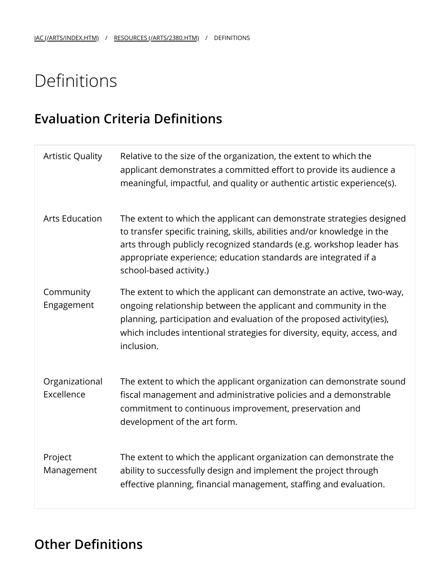## Definitions

## **Evaluation Criteria Definitions**

| <b>Artistic Quality</b>      | Relative to the size of the organization, the extent to which the<br>applicant demonstrates a committed effort to provide its audience a<br>meaningful, impactful, and quality or authentic artistic experience(s).                                                                                                     |
|------------------------------|-------------------------------------------------------------------------------------------------------------------------------------------------------------------------------------------------------------------------------------------------------------------------------------------------------------------------|
| <b>Arts Education</b>        | The extent to which the applicant can demonstrate strategies designed<br>to transfer specific training, skills, abilities and/or knowledge in the<br>arts through publicly recognized standards (e.g. workshop leader has<br>appropriate experience; education standards are integrated if a<br>school-based activity.) |
| Community<br>Engagement      | The extent to which the applicant can demonstrate an active, two-way,<br>ongoing relationship between the applicant and community in the<br>planning, participation and evaluation of the proposed activity(ies),<br>which includes intentional strategies for diversity, equity, access, and<br>inclusion.             |
| Organizational<br>Excellence | The extent to which the applicant organization can demonstrate sound<br>fiscal management and administrative policies and a demonstrable<br>commitment to continuous improvement, preservation and<br>development of the art form.                                                                                      |
| Project<br>Management        | The extent to which the applicant organization can demonstrate the<br>ability to successfully design and implement the project through<br>effective planning, financial management, staffing and evaluation.                                                                                                            |

## **Other Definitions**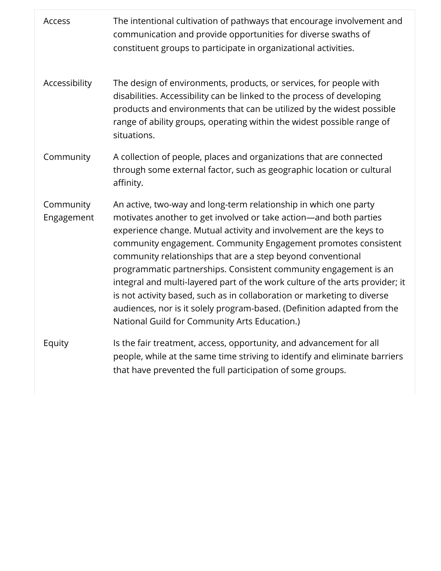| Access                  | The intentional cultivation of pathways that encourage involvement and<br>communication and provide opportunities for diverse swaths of<br>constituent groups to participate in organizational activities.                                                                                                                                                                                                                                                                                                                                                                                                                                                                                              |
|-------------------------|---------------------------------------------------------------------------------------------------------------------------------------------------------------------------------------------------------------------------------------------------------------------------------------------------------------------------------------------------------------------------------------------------------------------------------------------------------------------------------------------------------------------------------------------------------------------------------------------------------------------------------------------------------------------------------------------------------|
| Accessibility           | The design of environments, products, or services, for people with<br>disabilities. Accessibility can be linked to the process of developing<br>products and environments that can be utilized by the widest possible<br>range of ability groups, operating within the widest possible range of<br>situations.                                                                                                                                                                                                                                                                                                                                                                                          |
| Community               | A collection of people, places and organizations that are connected<br>through some external factor, such as geographic location or cultural<br>affinity.                                                                                                                                                                                                                                                                                                                                                                                                                                                                                                                                               |
| Community<br>Engagement | An active, two-way and long-term relationship in which one party<br>motivates another to get involved or take action-and both parties<br>experience change. Mutual activity and involvement are the keys to<br>community engagement. Community Engagement promotes consistent<br>community relationships that are a step beyond conventional<br>programmatic partnerships. Consistent community engagement is an<br>integral and multi-layered part of the work culture of the arts provider; it<br>is not activity based, such as in collaboration or marketing to diverse<br>audiences, nor is it solely program-based. (Definition adapted from the<br>National Guild for Community Arts Education.) |
| Equity                  | Is the fair treatment, access, opportunity, and advancement for all<br>people, while at the same time striving to identify and eliminate barriers<br>that have prevented the full participation of some groups.                                                                                                                                                                                                                                                                                                                                                                                                                                                                                         |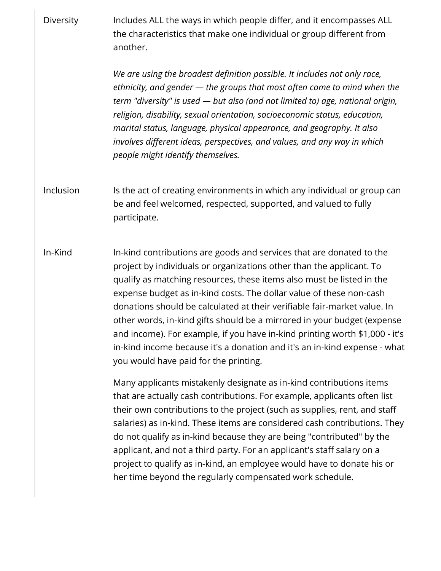Diversity Includes ALL the ways in which people differ, and it encompasses ALL the characteristics that make one individual or group different from another.

> *We are using the broadest definition possible. It includes not only race, ethnicity, and gender — the groups that most often come to mind when the term "diversity" is used — but also (and not limited to) age, national origin, religion, disability, sexual orientation, socioeconomic status, education, marital status, language, physical appearance, and geography. It also involves different ideas, perspectives, and values, and any way in which people might identify themselves.*

Inclusion Is the act of creating environments in which any individual or group can be and feel welcomed, respected, supported, and valued to fully participate.

In-Kind In-kind contributions are goods and services that are donated to the project by individuals or organizations other than the applicant. To qualify as matching resources, these items also must be listed in the expense budget as in-kind costs. The dollar value of these non-cash donations should be calculated at their veriable fair-market value. In other words, in-kind gifts should be a mirrored in your budget (expense and income). For example, if you have in-kind printing worth \$1,000 - it's in-kind income because it's a donation and it's an in-kind expense - what you would have paid for the printing.

> Many applicants mistakenly designate as in-kind contributions items that are actually cash contributions. For example, applicants often list their own contributions to the project (such as supplies, rent, and sta salaries) as in-kind. These items are considered cash contributions. They do not qualify as in-kind because they are being "contributed" by the applicant, and not a third party. For an applicant's staff salary on a project to qualify as in-kind, an employee would have to donate his or her time beyond the regularly compensated work schedule.